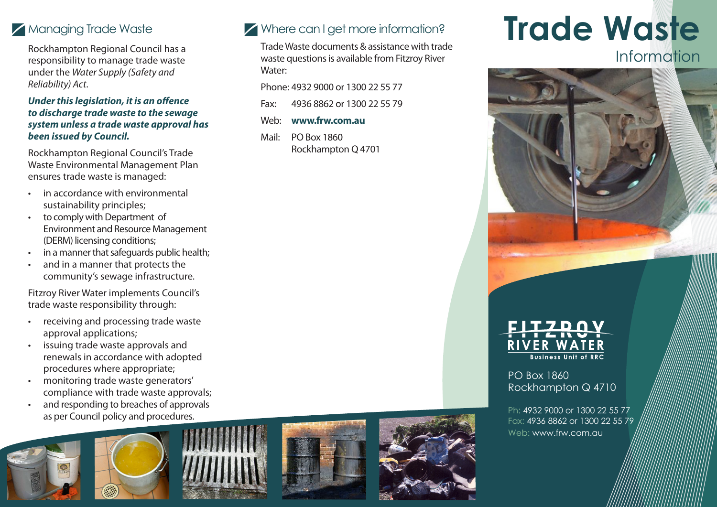# Managing Trade Waste

Rockhampton Regional Council has a responsibility to manage trade waste under the *Water Supply (Safety and Reliability) Act*.

#### *Under this legislation, it is an offence to discharge trade waste to the sewage system unless a trade waste approval has been issued by Council.*

Rockhampton Regional Council's Trade Waste Environmental Management Plan ensures trade waste is managed:

- in accordance with environmental sustainability principles;
- to comply with Department of Environment and Resource Management (DERM) licensing conditions;
- in a manner that safeguards public health;
- and in a manner that protects the community's sewage infrastructure.

Fitzroy River Water implements Council's trade waste responsibility through:

- receiving and processing trade waste approval applications;
- issuing trade waste approvals and renewals in accordance with adopted procedures where appropriate;
- monitoring trade waste generators' compliance with trade waste approvals;
- and responding to breaches of approvals as per Council policy and procedures.





## Where can I get more information?

Trade Waste documents & assistance with trade waste questions is available from Fitzroy River Water:

Phone: 4932 9000 or 1300 22 55 77

Fax: 4936 8862 or 1300 22 55 79

- Web: **www.frw.com.au**
- Mail: PO Box 1860 Rockhampton Q 4701







PO Box 1860 Rockhampton Q 4710

Ph: 4932 9000 or 1300 22 55 77 Fax: 4936 8862 or 1300 22 55 79 Web: www.frw.com.au.